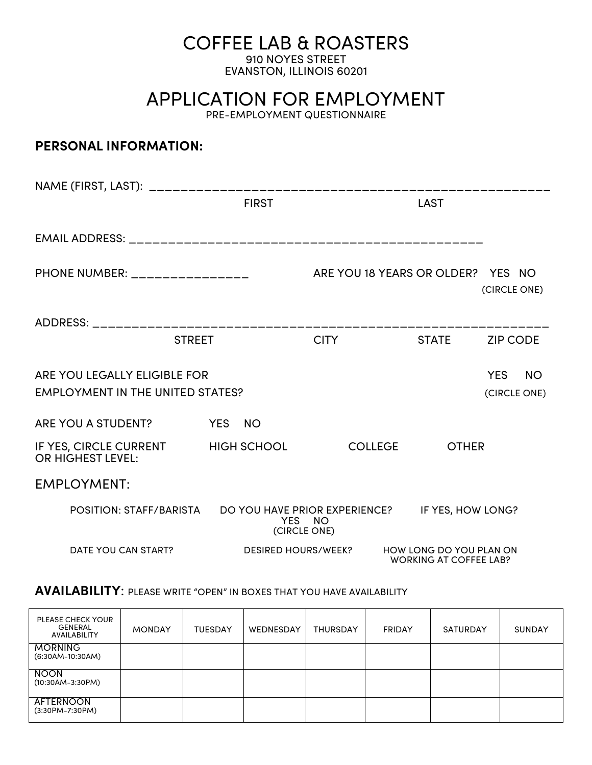# COFFEE LAB & ROASTERS

910 NOYES STREET EVANSTON, ILLINOIS 60201

APPLICATION FOR EMPLOYMENT

PRE-EMPLOYMENT QUESTIONNAIRE

## **PERSONAL INFORMATION:**

|                                                                         | <b>FIRST</b>               |                                                 | <b>LAST</b>                                              |                 |
|-------------------------------------------------------------------------|----------------------------|-------------------------------------------------|----------------------------------------------------------|-----------------|
|                                                                         |                            |                                                 |                                                          |                 |
| PHONE NUMBER: ________________                                          |                            | ARE YOU 18 YEARS OR OLDER? YES NO               |                                                          | (CIRCLE ONE)    |
|                                                                         |                            |                                                 |                                                          |                 |
| <b>STREET</b>                                                           |                            | <b>CITY</b>                                     | <b>STATE</b>                                             | <b>ZIP CODE</b> |
| ARE YOU LEGALLY ELIGIBLE FOR<br><b>EMPLOYMENT IN THE UNITED STATES?</b> |                            | <b>YES</b><br><b>NO</b><br>(CIRCLE ONE)         |                                                          |                 |
| ARE YOU A STUDENT?                                                      | YES NO                     |                                                 |                                                          |                 |
| IF YES, CIRCLE CURRENT HIGH SCHOOL<br><b>OR HIGHEST LEVEL:</b>          |                            | <b>COLLEGE</b>                                  | <b>OTHER</b>                                             |                 |
| <b>EMPLOYMENT:</b>                                                      |                            |                                                 |                                                          |                 |
| POSITION: STAFF/BARISTA                                                 | YES NO<br>(CIRCLE ONE)     | DO YOU HAVE PRIOR EXPERIENCE? IF YES, HOW LONG? |                                                          |                 |
| DATE YOU CAN START?                                                     | <b>DESIRED HOURS/WEEK?</b> |                                                 | HOW LONG DO YOU PLAN ON<br><b>WORKING AT COFFEE LAB?</b> |                 |

## **AVAILABILITY**: PLEASE WRITE "OPEN" IN BOXES THAT YOU HAVE AVAILABILITY

| <b>PLEASE CHECK YOUR</b><br>GENERAL<br>AVAILABILITY | <b>MONDAY</b> | <b>TUESDAY</b> | WEDNESDAY | <b>THURSDAY</b> | <b>FRIDAY</b> | SATURDAY | <b>SUNDAY</b> |
|-----------------------------------------------------|---------------|----------------|-----------|-----------------|---------------|----------|---------------|
| <b>MORNING</b><br>$(6:30AM-10:30AM)$                |               |                |           |                 |               |          |               |
| <b>NOON</b><br>$(10:30AM-3:30PM)$                   |               |                |           |                 |               |          |               |
| AFTERNOON<br>$(3:30PM - 7:30PM)$                    |               |                |           |                 |               |          |               |